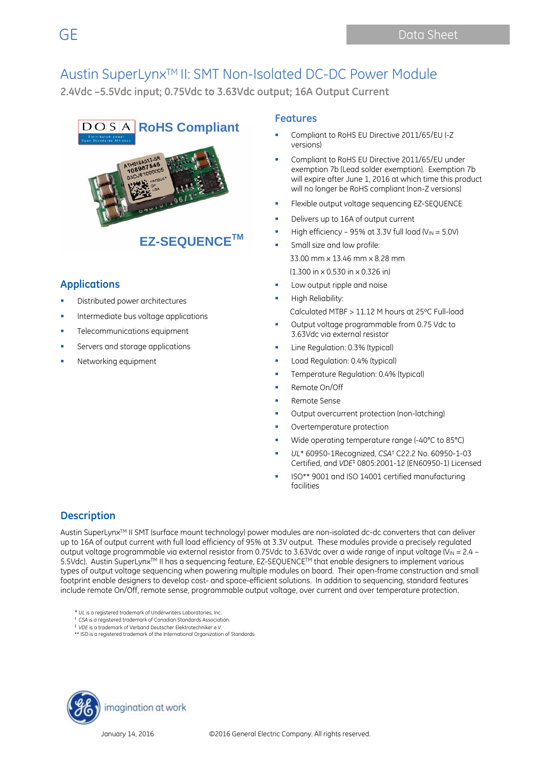**2.4Vdc –5.5Vdc input; 0.75Vdc to 3.63Vdc output; 16A Output Current**



## **Applications**

- Distributed power architectures
- Intermediate bus voltage applications
- Telecommunications equipment
- Servers and storage applications
- Networking equipment

#### **Features**

- Compliant to RoHS EU Directive 2011/65/EU (-Z versions)
- Compliant to RoHS EU Directive 2011/65/EU under exemption 7b (Lead solder exemption). Exemption 7b will expire after June 1, 2016 at which time this product will no longer be RoHS compliant (non-Z versions)
- Flexible output voltage sequencing EZ-SEQUENCE
- Delivers up to 16A of output current
- High efficiency 95% at 3.3V full load ( $V_{IN} = 5.0V$ )
- Small size and low profile: 33.00 mm x 13.46 mm x 8.28 mm (1.300 in x 0.530 in x 0.326 in)
- Low output ripple and noise
- High Reliability: Calculated MTBF > 11.12 M hours at 25°C Full-load
- Output voltage programmable from 0.75 Vdc to 3.63Vdc via external resistor
- Line Regulation: 0.3% (typical)
- Load Regulation: 0.4% (typical)
- Temperature Regulation: 0.4% (typical)
- Remote On/Off
- Remote Sense
- Output overcurrent protection (non-latching)
- Overtemperature protection
- Wide operating temperature range (-40°C to 85°C)
- *UL*\* 60950-1Recognized, *CSA*† C22.2 No. 60950-1-03 Certified, and *VDE*‡ 0805:2001-12 (EN60950-1) Licensed
- ISO\*\* 9001 and ISO 14001 certified manufacturing facilities

### **Description**

Austin SuperLynx<sup>TM</sup> II SMT (surface mount technology) power modules are non-isolated dc-dc converters that can deliver up to 16A of output current with full load efficiency of 95% at 3.3V output. These modules provide a precisely regulated output voltage programmable via external resistor from 0.75Vdc to 3.63Vdc over a wide range of input voltage (V<sub>IN</sub> = 2.4 – 5.5Vdc). Austin SuperLynx™ II has a sequencing feature, EZ-SEQUENCE™ that enable designers to implement various types of output voltage sequencing when powering multiple modules on board. Their open-frame construction and small footprint enable designers to develop cost- and space-efficient solutions. In addition to sequencing, standard features include remote On/Off, remote sense, programmable output voltage, over current and over temperature protection.

- \* *UL* is a registered trademark of Underwriters Laboratories, Inc.
- † *CSA* is a registered trademark of Canadian Standards Association.
- ‡ *VDE* is a trademark of Verband Deutscher Elektrotechniker e.V. \*\* ISO is a registered trademark of the International Organization of Standards

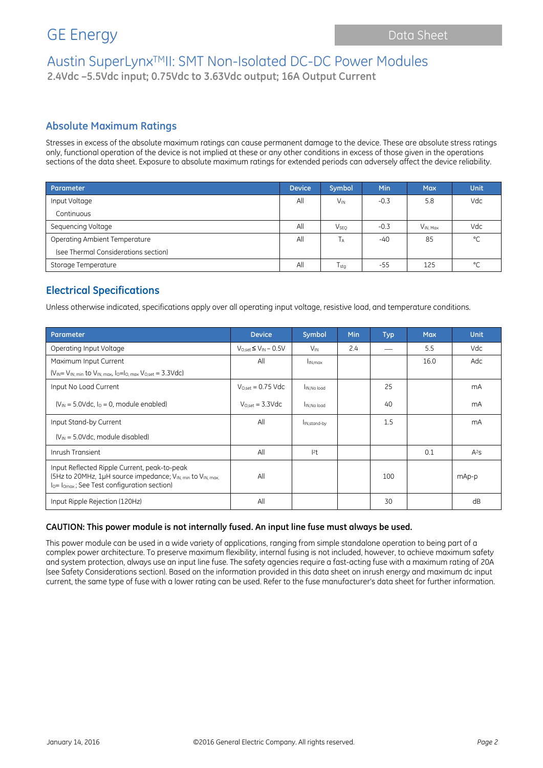**2.4Vdc –5.5Vdc input; 0.75Vdc to 3.63Vdc output; 16A Output Current**

### **Absolute Maximum Ratings**

Stresses in excess of the absolute maximum ratings can cause permanent damage to the device. These are absolute stress ratings only, functional operation of the device is not implied at these or any other conditions in excess of those given in the operations sections of the data sheet. Exposure to absolute maximum ratings for extended periods can adversely affect the device reliability.

| Parameter                            | <b>Device</b> | <b>Symbol</b>          | Min    | <b>Max</b>    | <b>Unit</b> |
|--------------------------------------|---------------|------------------------|--------|---------------|-------------|
| Input Voltage                        | All           | <b>V<sub>IN</sub></b>  | $-0.3$ | 5.8           | Vdc         |
| Continuous                           |               |                        |        |               |             |
| Sequencing Voltage                   | All           | <b>V<sub>SEQ</sub></b> | $-0.3$ | $V_{IN, Max}$ | Vdc         |
| Operating Ambient Temperature        | All           | Tд                     | $-40$  | 85            | °C          |
| (see Thermal Considerations section) |               |                        |        |               |             |
| Storage Temperature                  | All           | $T_{\sf stq}$          | $-55$  | 125           | $\circ$     |

### **Electrical Specifications**

Unless otherwise indicated, specifications apply over all operating input voltage, resistive load, and temperature conditions.

| Parameter                                                                                                                                                | <b>Device</b>                 | Symbol                   | <b>Min</b> | <b>Typ</b> | <b>Max</b> | <b>Unit</b> |
|----------------------------------------------------------------------------------------------------------------------------------------------------------|-------------------------------|--------------------------|------------|------------|------------|-------------|
| Operating Input Voltage                                                                                                                                  | $V_{Oset} \leq V_{IN} - 0.5V$ | $V_{IN}$                 | 2.4        |            | 5.5        | Vdc         |
| Maximum Input Current                                                                                                                                    | All                           | I <sub>IN.max</sub>      |            |            | 16.0       | Adc         |
| $(V_{IN} = V_{IN. min}$ to $V_{IN. max.}$ $I_0 = I_{O. max}$ $V_{O. set} = 3.3 \text{Vdc}$                                                               |                               |                          |            |            |            |             |
| Input No Load Current                                                                                                                                    | $V_{O.set} = 0.75$ Vdc        | IN.No load               |            | 25         |            | mA          |
| $(V_{IN} = 5.0 \text{Vdc}, I_0 = 0$ , module enabled)                                                                                                    | $V_{O,set}$ = 3.3Vdc          | IN.No load               |            | 40         |            | mA          |
| Input Stand-by Current                                                                                                                                   | All                           | I <sub>IN,stand-by</sub> |            | 1.5        |            | mA          |
| $(V_{IN} = 5.0 Vdc$ , module disabled)                                                                                                                   |                               |                          |            |            |            |             |
| Inrush Transient                                                                                                                                         | All                           | $ ^{2}t$                 |            |            | 0.1        | $A^2S$      |
| Input Reflected Ripple Current, peak-to-peak<br>(5Hz to 20MHz, 1µH source impedance; VIN, min to VIN, max,<br>lo= lomax; See Test configuration section) | All                           |                          |            | 100        |            | mAp-p       |
| Input Ripple Rejection (120Hz)                                                                                                                           | All                           |                          |            | 30         |            | dB          |

#### **CAUTION: This power module is not internally fused. An input line fuse must always be used.**

This power module can be used in a wide variety of applications, ranging from simple standalone operation to being part of a complex power architecture. To preserve maximum flexibility, internal fusing is not included, however, to achieve maximum safety and system protection, always use an input line fuse. The safety agencies require a fast-acting fuse with a maximum rating of 20A (see Safety Considerations section). Based on the information provided in this data sheet on inrush energy and maximum dc input current, the same type of fuse with a lower rating can be used. Refer to the fuse manufacturer's data sheet for further information.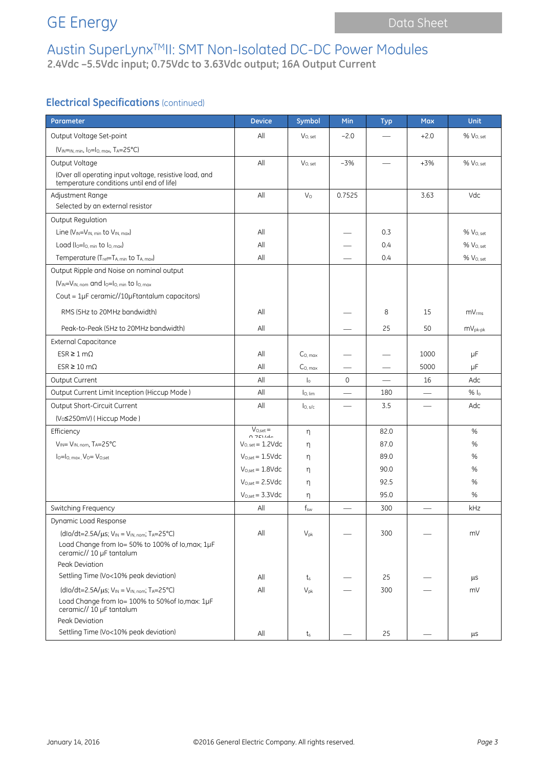## GE Energy **Data Sheet** Data Sheet

# Austin SuperLynxTMII: SMT Non-Isolated DC-DC Power Modules

**2.4Vdc –5.5Vdc input; 0.75Vdc to 3.63Vdc output; 16A Output Current**

### **Electrical Specifications** (continued)

| Parameter                                                                                           | <b>Device</b>                       | Symbol              | Min                      | <b>Typ</b>                      | <b>Max</b>               | <b>Unit</b>           |
|-----------------------------------------------------------------------------------------------------|-------------------------------------|---------------------|--------------------------|---------------------------------|--------------------------|-----------------------|
| Output Voltage Set-point                                                                            | All                                 | $V_{O.}$ set        | $-2.0$                   |                                 | $+2.0$                   | % V <sub>O, set</sub> |
| $(V_{IN=IN, min, 10=10, max, T_A=25°C)$                                                             |                                     |                     |                          |                                 |                          |                       |
| Output Voltage                                                                                      | All                                 | V <sub>O, set</sub> | $-3%$                    |                                 | $+3%$                    | % V <sub>O. set</sub> |
| (Over all operating input voltage, resistive load, and<br>temperature conditions until end of life) |                                     |                     |                          |                                 |                          |                       |
| Adjustment Range                                                                                    | All                                 | $V_{\Omega}$        | 0.7525                   |                                 | 3.63                     | Vdc                   |
| Selected by an external resistor                                                                    |                                     |                     |                          |                                 |                          |                       |
| Output Regulation                                                                                   |                                     |                     |                          |                                 |                          |                       |
| Line $(V_{IN} = V_{IN. min}$ to $V_{IN. max}$                                                       | All                                 |                     |                          | 0.3                             |                          | % Voset               |
| Load $(I_0 = I_0$ min to $I_0$ max)                                                                 | All                                 |                     |                          | 0.4                             |                          | % Vo.set              |
| Temperature (Tref=TA, min to TA, max)                                                               | All                                 |                     |                          | 0.4                             |                          | % Vo, set             |
| Output Ripple and Noise on nominal output                                                           |                                     |                     |                          |                                 |                          |                       |
| (VIN=VIN, nom and lo=lo, min to lo, max                                                             |                                     |                     |                          |                                 |                          |                       |
| Cout = $1\mu$ F ceramic//10 $\mu$ Ftantalum capacitors)                                             |                                     |                     |                          |                                 |                          |                       |
| RMS (5Hz to 20MHz bandwidth)                                                                        | All                                 |                     |                          | 8                               | 15                       | mV <sub>rms</sub>     |
| Peak-to-Peak (5Hz to 20MHz bandwidth)                                                               | All                                 |                     |                          | 25                              | 50                       | $mV_{pk-pk}$          |
| <b>External Capacitance</b>                                                                         |                                     |                     |                          |                                 |                          |                       |
| $ESR \geq 1 \, \text{m}\Omega$                                                                      | All                                 | C <sub>0. max</sub> |                          |                                 | 1000                     | $\mu$ F               |
| $ESR \ge 10 \text{ m}\Omega$                                                                        | All                                 | $C0$ max            |                          |                                 | 5000                     | μF                    |
| Output Current                                                                                      | All                                 | $\mathsf{I}_\circ$  | $\mathbf 0$              | $\overbrace{\qquad \qquad }^{}$ | 16                       | Adc                   |
| Output Current Limit Inception (Hiccup Mode)                                                        | All                                 | lo, lim             |                          | 180                             |                          | $%$ $ _0$             |
| Output Short-Circuit Current                                                                        | All                                 | I <sub>O, s/c</sub> | $\overline{\phantom{0}}$ | 3.5                             | $\overline{\phantom{0}}$ | Adc                   |
| (V <sub>o</sub> ≤250mV) (Hiccup Mode)                                                               |                                     |                     |                          |                                 |                          |                       |
| Efficiency                                                                                          | $V_{O.set} =$<br>$0.7$ $014$        | n                   |                          | 82.0                            |                          | %                     |
| VIN= VIN, nom, TA=25°C                                                                              | $V_{O, set} = 1.2$ Vdc              | η                   |                          | 87.0                            |                          | $\%$                  |
| $I_0 = I_0$ , max, $V_0 = V_0$ , set                                                                | $V_{O,\text{set}} = 1.5 \text{Vdc}$ | η                   |                          | 89.0                            |                          | %                     |
|                                                                                                     | $V_{O,set} = 1.8$ Vdc               | η                   |                          | 90.0                            |                          | %                     |
|                                                                                                     | $V_{O,set} = 2.5 \text{Vdc}$        | η                   |                          | 92.5                            |                          | %                     |
|                                                                                                     | $V_{O,set} = 3.3 \text{Vdc}$        | η                   |                          | 95.0                            |                          | %                     |
| Switching Frequency                                                                                 | All                                 | $f_{\rm sw}$        |                          | 300                             |                          | kHz                   |
| Dynamic Load Response                                                                               |                                     |                     |                          |                                 |                          |                       |
| $(dlo/dt = 2.5A/\mu s; V_{IN} = V_{IN, nom}; T_A = 25°C)$                                           | All                                 | $V_{pk}$            |                          | 300                             |                          | mV                    |
| Load Change from Io= 50% to 100% of Io, max; 1µF<br>ceramic// 10 µF tantalum                        |                                     |                     |                          |                                 |                          |                       |
| Peak Deviation                                                                                      |                                     |                     |                          |                                 |                          |                       |
| Settling Time (Vo<10% peak deviation)                                                               | All                                 | $t_{\rm s}$         |                          | 25                              |                          | μS                    |
| $(dlo/dt=2.5A/\mu s; V_{IN} = V_{IN, nom}; T_A=25°C)$                                               | All                                 | $V_{pk}$            |                          | 300                             |                          | mV                    |
| Load Change from lo= 100% to 50% of lo, max: 1µF<br>ceramic// 10 µF tantalum                        |                                     |                     |                          |                                 |                          |                       |
| Peak Deviation                                                                                      |                                     |                     |                          |                                 |                          |                       |
| Settling Time (Vo<10% peak deviation)                                                               | All                                 | $t_{\rm s}$         |                          | 25                              |                          | μs                    |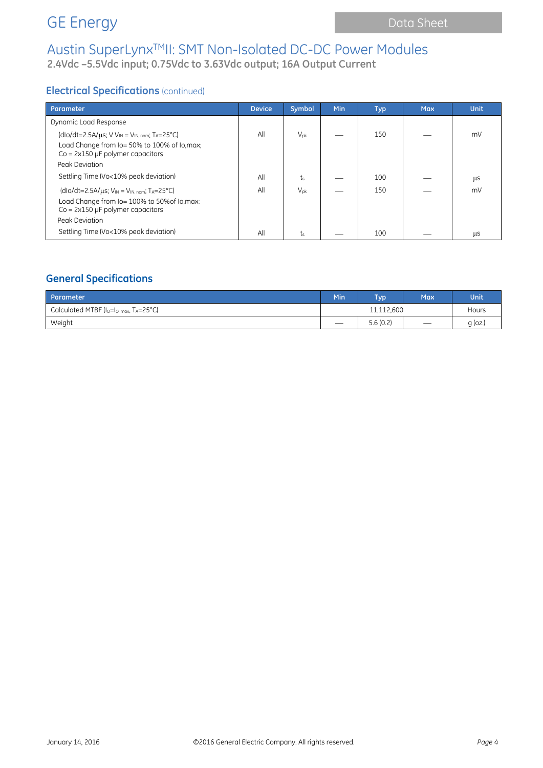**2.4Vdc –5.5Vdc input; 0.75Vdc to 3.63Vdc output; 16A Output Current**

## **Electrical Specifications** (continued)

| Parameter                                                                                                                                                                               | <b>Device</b> | Symbol          | Min | <b>Typ</b> | <b>Max</b> | <b>Unit</b> |
|-----------------------------------------------------------------------------------------------------------------------------------------------------------------------------------------|---------------|-----------------|-----|------------|------------|-------------|
| Dynamic Load Response                                                                                                                                                                   |               |                 |     |            |            |             |
| (dlo/dt=2.5A/ $\mu$ s; V V <sub>IN</sub> = V <sub>IN, nom</sub> ; T <sub>A</sub> =25°C)<br>Load Change from Io= 50% to 100% of Io, max;<br>$Co = 2 \times 150 \mu F$ polymer capacitors | All           | $V_{\text{pk}}$ |     | 150        |            | mV          |
| Peak Deviation                                                                                                                                                                          |               |                 |     |            |            |             |
| Settling Time (Vo<10% peak deviation)                                                                                                                                                   | All           | ts              |     | 100        |            | μS          |
| $(dlo/dt=2.5A/\mu s; VIN = VIN, nom; TA=25°C)$<br>Load Change from Io= 100% to 50% of Io, max:<br>$Co = 2 \times 150 \mu F$ polymer capacitors                                          | All           | $V_{\text{pk}}$ |     | 150        |            | mV          |
| Peak Deviation                                                                                                                                                                          |               |                 |     |            |            |             |
| Settling Time (Vo<10% peak deviation)                                                                                                                                                   | All           | ts              |     | 100        |            | <b>LLS</b>  |

## **General Specifications**

| Parameter                                                        | Min                      | <b>Typ</b> | Max               | Unit      |
|------------------------------------------------------------------|--------------------------|------------|-------------------|-----------|
| Calculated MTBF ( $I_0 = I_0$ , $_{max}$ , $T_A = 25^{\circ}$ C) | 11,112,600               |            |                   | Hours     |
| Weight                                                           | $\overline{\phantom{a}}$ | 5.6(0.2)   | $\hspace{0.05cm}$ | $g$ (oz.) |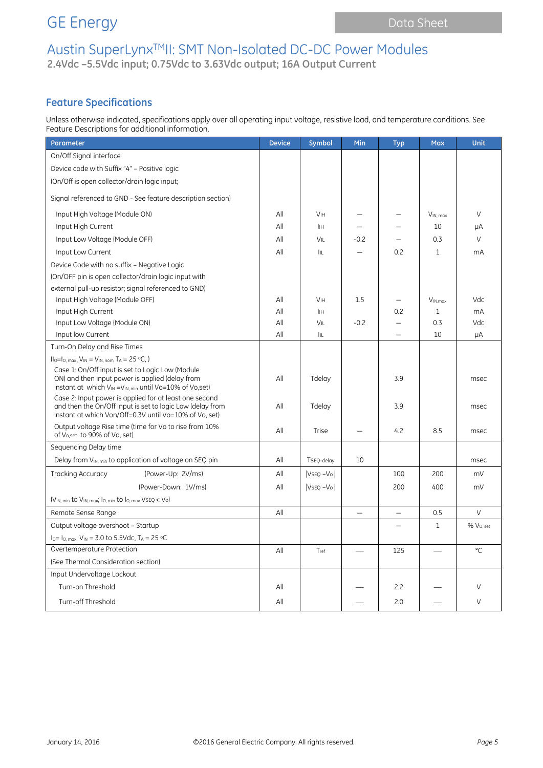GE Energy **Data Sheet** Data Sheet

# Austin SuperLynxTMII: SMT Non-Isolated DC-DC Power Modules

**2.4Vdc –5.5Vdc input; 0.75Vdc to 3.63Vdc output; 16A Output Current**

## **Feature Specifications**

Unless otherwise indicated, specifications apply over all operating input voltage, resistive load, and temperature conditions. See Feature Descriptions for additional information.

| Parameter                                                                                                                                                                     | <b>Device</b> | Symbol                | Min                      | <b>Typ</b>               | <b>Max</b>               | <b>Unit</b>           |
|-------------------------------------------------------------------------------------------------------------------------------------------------------------------------------|---------------|-----------------------|--------------------------|--------------------------|--------------------------|-----------------------|
| On/Off Signal interface                                                                                                                                                       |               |                       |                          |                          |                          |                       |
| Device code with Suffix "4" - Positive logic                                                                                                                                  |               |                       |                          |                          |                          |                       |
| (On/Off is open collector/drain logic input;                                                                                                                                  |               |                       |                          |                          |                          |                       |
| Signal referenced to GND - See feature description section)                                                                                                                   |               |                       |                          |                          |                          |                       |
| Input High Voltage (Module ON)                                                                                                                                                | All           | <b>V<sub>IH</sub></b> |                          |                          | $V_{IN, max}$            | V                     |
| Input High Current                                                                                                                                                            | All           | İІН                   |                          |                          | 10                       | μA                    |
| Input Low Voltage (Module OFF)                                                                                                                                                | All           | VIL                   | $-0.2$                   |                          | 0.3                      | $\vee$                |
| Input Low Current                                                                                                                                                             | All           | IIL                   |                          | 0.2                      | $\mathbf{1}$             | mA                    |
| Device Code with no suffix - Negative Logic                                                                                                                                   |               |                       |                          |                          |                          |                       |
| (On/OFF pin is open collector/drain logic input with                                                                                                                          |               |                       |                          |                          |                          |                       |
| external pull-up resistor; signal referenced to GND)                                                                                                                          |               |                       |                          |                          |                          |                       |
| Input High Voltage (Module OFF)                                                                                                                                               | All           | <b>V<sub>IH</sub></b> | 1.5                      |                          | $V_{IN,max}$             | Vdc                   |
| Input High Current                                                                                                                                                            | All           | Iн                    |                          | 0.2                      | $\mathbf{1}$             | mA                    |
| Input Low Voltage (Module ON)                                                                                                                                                 | All           | VIL                   | $-0.2$                   |                          | 0.3                      | Vdc                   |
| Input low Current                                                                                                                                                             | All           | IIL                   |                          |                          | 10                       | μA                    |
| Turn-On Delay and Rise Times                                                                                                                                                  |               |                       |                          |                          |                          |                       |
| $(I_0 = I_0$ , max, $V_{IN} = V_{IN, nom}$ , $T_A = 25 °C$ , )                                                                                                                |               |                       |                          |                          |                          |                       |
| Case 1: On/Off input is set to Logic Low (Module<br>ON) and then input power is applied (delay from<br>instant at which $V_{IN} = V_{IN}}$ min until Vo=10% of Vo, set)       | All           | Tdelay                |                          | 3.9                      |                          | msec                  |
| Case 2: Input power is applied for at least one second<br>and then the On/Off input is set to logic Low (delay from<br>instant at which Von/Off=0.3V until Vo=10% of Vo. set) | All           | Tdelay                |                          | 3.9                      |                          | msec                  |
| Output voltage Rise time (time for Vo to rise from 10%<br>of Vo, set to 90% of Vo, set)                                                                                       | All           | Trise                 |                          | 4.2                      | 8.5                      | msec                  |
| Sequencing Delay time                                                                                                                                                         |               |                       |                          |                          |                          |                       |
| Delay from $V_{IN, min}$ to application of voltage on SEQ pin                                                                                                                 | All           | TSEQ-delay            | 10                       |                          |                          | msec                  |
| (Power-Up: 2V/ms)<br>Tracking Accuracy                                                                                                                                        | All           | $VSEO - VO$           |                          | 100                      | 200                      | mV                    |
| (Power-Down: 1V/ms)                                                                                                                                                           | All           | $V$ SEQ $-V$ o        |                          | 200                      | 400                      | mV                    |
| (V <sub>IN, min</sub> to V <sub>IN, max</sub> ; I <sub>O, min</sub> to I <sub>O, max</sub> VSEQ < Vo)                                                                         |               |                       |                          |                          |                          |                       |
| Remote Sense Range                                                                                                                                                            | All           |                       |                          | $\overline{\phantom{0}}$ | 0.5                      | $\vee$                |
| Output voltage overshoot - Startup                                                                                                                                            |               |                       |                          |                          | $\mathbf{1}$             | % V <sub>O, set</sub> |
| $I_0 = I_0$ , max; $V_{IN} = 3.0$ to 5.5Vdc, TA = 25 °C                                                                                                                       |               |                       |                          |                          |                          |                       |
| Overtemperature Protection                                                                                                                                                    | All           | $T_{ref}$             | $\overline{\phantom{0}}$ | 125                      | $\overline{\phantom{0}}$ | °C                    |
| (See Thermal Consideration section)                                                                                                                                           |               |                       |                          |                          |                          |                       |
| Input Undervoltage Lockout                                                                                                                                                    |               |                       |                          |                          |                          |                       |
| Turn-on Threshold                                                                                                                                                             | All           |                       |                          | 2.2                      |                          | V                     |
| Turn-off Threshold                                                                                                                                                            | All           |                       |                          | 2.0                      |                          | $\vee$                |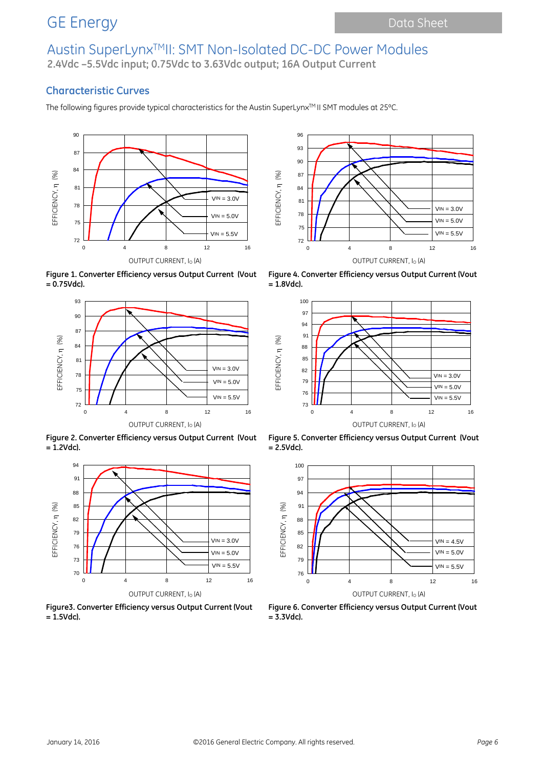## Austin SuperLynxTMII: SMT Non-Isolated DC-DC Power Modules **2.4Vdc –5.5Vdc input; 0.75Vdc to 3.63Vdc output; 16A Output Current**

### **Characteristic Curves**

The following figures provide typical characteristics for the Austin SuperLynx<sup>TM</sup> II SMT modules at 25°C.



**Figure 1. Converter Efficiency versus Output Current (Vout = 0.75Vdc).**



**Figure 2. Converter Efficiency versus Output Current (Vout = 1.2Vdc).**



**Figure3. Converter Efficiency versus Output Current (Vout = 1.5Vdc).**



**Figure 4. Converter Efficiency versus Output Current (Vout = 1.8Vdc).**



**Figure 5. Converter Efficiency versus Output Current (Vout = 2.5Vdc).**



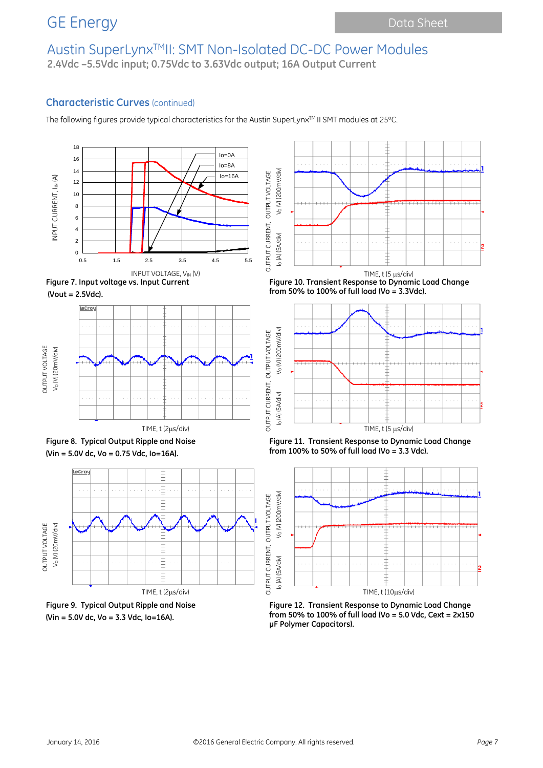## Austin SuperLynxTMII: SMT Non-Isolated DC-DC Power Modules **2.4Vdc –5.5Vdc input; 0.75Vdc to 3.63Vdc output; 16A Output Current**

### **Characteristic Curves** (continued)

The following figures provide typical characteristics for the Austin SuperLynx™ II SMT modules at 25°C.













**(Vin = 5.0V dc, Vo = 3.3 Vdc, Io=16A).**



 $INPUT$  VOLTAGE, V<sub>IN</sub> (V)  $INPUT$   $IMPU$   $IMPU$   $IMPU$   $IMPU$   $IMPU$   $IMPU$   $IMPU$ **Figure 10. Transient Response to Dynamic Load Change from 50% to 100% of full load (Vo = 3.3Vdc).**



**Figure 11. Transient Response to Dynamic Load Change from 100% to 50% of full load (Vo = 3.3 Vdc).**



**Figure 12. Transient Response to Dynamic Load Change from 50% to 100% of full load (Vo = 5.0 Vdc, Cext = 2x150 μF Polymer Capacitors).**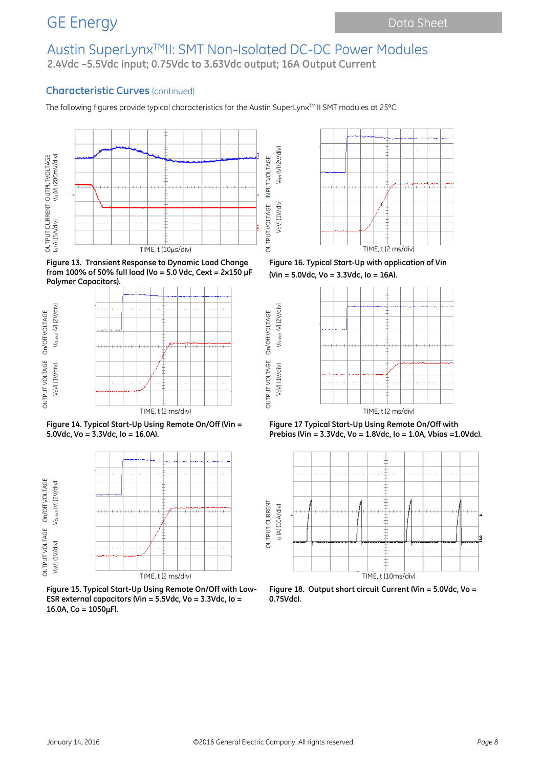## Austin SuperLynxTMII: SMT Non-Isolated DC-DC Power Modules **2.4Vdc –5.5Vdc input; 0.75Vdc to 3.63Vdc output; 16A Output Current**

VOV) (1V/div) VNN (V) (2V/div)

VoV) (1V/div)

VNN (V) (2V/div)

OUTPUT VOLTAGE On/Off VOLTAGE VOV) (1V/div) VOn/off (V) (2V/div)

On/Off VOLTAGE

Vorvoff (V) (2V/div)

VoV) (1V/div)

#### **Characteristic Curves** (continued)

The following figures provide typical characteristics for the Austin SuperLynx<sup>TM</sup> II SMT modules at 25°C.



**Figure 13. Transient Response to Dynamic Load Change from 100% of 50% full load (Vo = 5.0 Vdc, Cext = 2x150 μF Polymer Capacitors).**







**Figure 15. Typical Start-Up Using Remote On/Off with Low-ESR external capacitors (Vin = 5.5Vdc, Vo = 3.3Vdc, Io = 16.0A, Co = 1050**µ**F).**



**Figure 16. Typical Start-Up with application of Vin (Vin = 5.0Vdc, Vo = 3.3Vdc, Io = 16A).**



**Figure 17 Typical Start-Up Using Remote On/Off with Prebias (Vin = 3.3Vdc, Vo = 1.8Vdc, Io = 1.0A, Vbias =1.0Vdc).**



**Figure 18. Output short circuit Current (Vin = 5.0Vdc, Vo = 0.75Vdc).**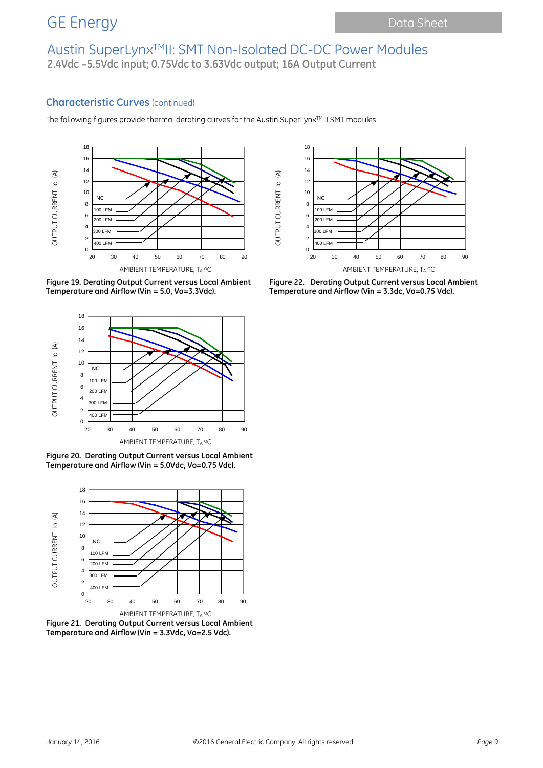## Austin SuperLynxTMII: SMT Non-Isolated DC-DC Power Modules **2.4Vdc –5.5Vdc input; 0.75Vdc to 3.63Vdc output; 16A Output Current**

#### **Characteristic Curves** (continued)

The following figures provide thermal derating curves for the Austin SuperLynx™ II SMT modules.





**Figure 19. Derating Output Current versus Local Ambient Temperature and Airflow (Vin = 5.0, Vo=3.3Vdc).**

**Figure 22. Derating Output Current versus Local Ambient Temperature and Airflow (Vin = 3.3dc, Vo=0.75 Vdc).**



**Figure 20. Derating Output Current versus Local Ambient Temperature and Airflow (Vin = 5.0Vdc, Vo=0.75 Vdc).**



**Figure 21. Derating Output Current versus Local Ambient Temperature and Airflow (Vin = 3.3Vdc, Vo=2.5 Vdc).**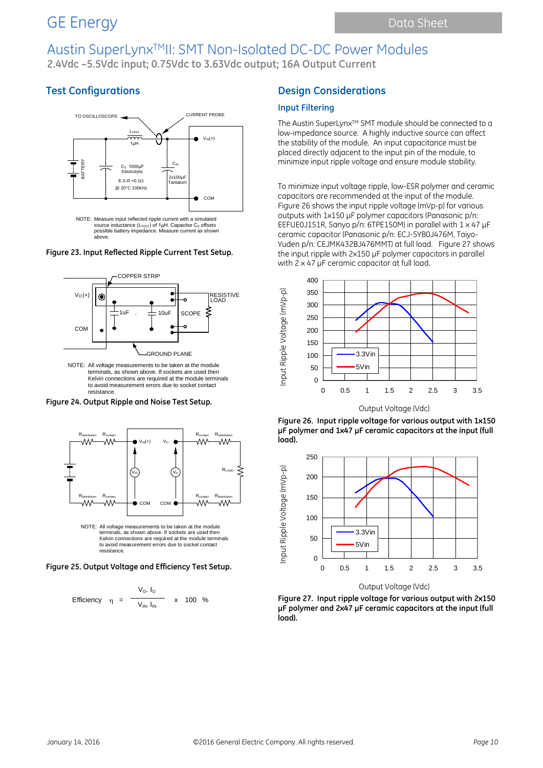**2.4Vdc –5.5Vdc input; 0.75Vdc to 3.63Vdc output; 16A Output Current**

## **Test Configurations**



source inductance (L<sub>TEST</sub>) of 1μH. Capacitor C<sub>S</sub> offsets<br>possible battery impedance. Measure current as shown above.

**Figure 23. Input Reflected Ripple Current Test Setup.**



NOTE: All voltage measurements to be taken at the module terminals, as shown above. If sockets are used then Kelvin connections are required at the module terminals to avoid measurement errors due to socket contact resistance.

**Figure 24. Output Ripple and Noise Test Setup.**



Kelvin connections are required at the module terminals to avoid measurement errors due to socket contact resistance.





### **Design Considerations**

#### **Input Filtering**

The Austin SuperLynx™ SMT module should be connected to a low-impedance source. A highly inductive source can affect the stability of the module. An input capacitance must be placed directly adjacent to the input pin of the module, to minimize input ripple voltage and ensure module stability.

To minimize input voltage ripple, low-ESR polymer and ceramic capacitors are recommended at the input of the module. Figure 26 shows the input ripple voltage (mVp-p) for various outputs with 1x150 µF polymer capacitors (Panasonic p/n: EEFUE0J151R, Sanyo p/n: 6TPE150M) in parallel with 1 x 47 µF ceramic capacitor (Panasonic p/n: ECJ-5YB0J476M, Taiyo-Yuden p/n: CEJMK432BJ476MMT) at full load. Figure 27 shows the input ripple with 2x150 µF polymer capacitors in parallel with 2 x 47 µF ceramic capacitor at full load.



Output Voltage (Vdc)

**Figure 26. Input ripple voltage for various output with 1x150 µF polymer and 1x47 µF ceramic capacitors at the input (full load).**





**Figure 27. Input ripple voltage for various output with 2x150 µF polymer and 2x47 µF ceramic capacitors at the input (full load).**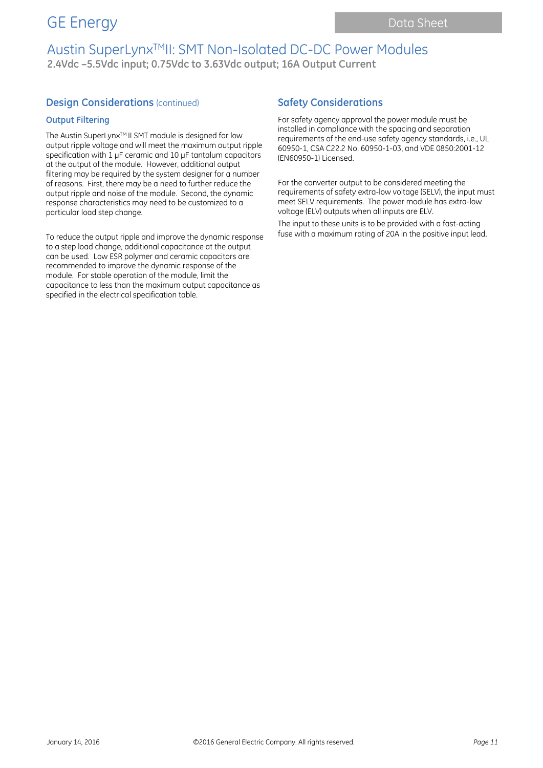## Austin SuperLynxTMII: SMT Non-Isolated DC-DC Power Modules **2.4Vdc –5.5Vdc input; 0.75Vdc to 3.63Vdc output; 16A Output Current**

#### **Design Considerations (continued)**

#### **Output Filtering**

The Austin SuperLynx<sup>™</sup> II SMT module is designed for low output ripple voltage and will meet the maximum output ripple specification with 1 µF ceramic and 10 µF tantalum capacitors at the output of the module. However, additional output filtering may be required by the system designer for a number of reasons. First, there may be a need to further reduce the output ripple and noise of the module. Second, the dynamic response characteristics may need to be customized to a particular load step change.

To reduce the output ripple and improve the dynamic response to a step load change, additional capacitance at the output can be used. Low ESR polymer and ceramic capacitors are recommended to improve the dynamic response of the module. For stable operation of the module, limit the capacitance to less than the maximum output capacitance as specified in the electrical specification table.

### **Safety Considerations**

For safety agency approval the power module must be installed in compliance with the spacing and separation requirements of the end-use safety agency standards, i.e., UL 60950-1, CSA C22.2 No. 60950-1-03, and VDE 0850:2001-12 (EN60950-1) Licensed.

For the converter output to be considered meeting the requirements of safety extra-low voltage (SELV), the input must meet SELV requirements. The power module has extra-low voltage (ELV) outputs when all inputs are ELV.

The input to these units is to be provided with a fast-acting fuse with a maximum rating of 20A in the positive input lead.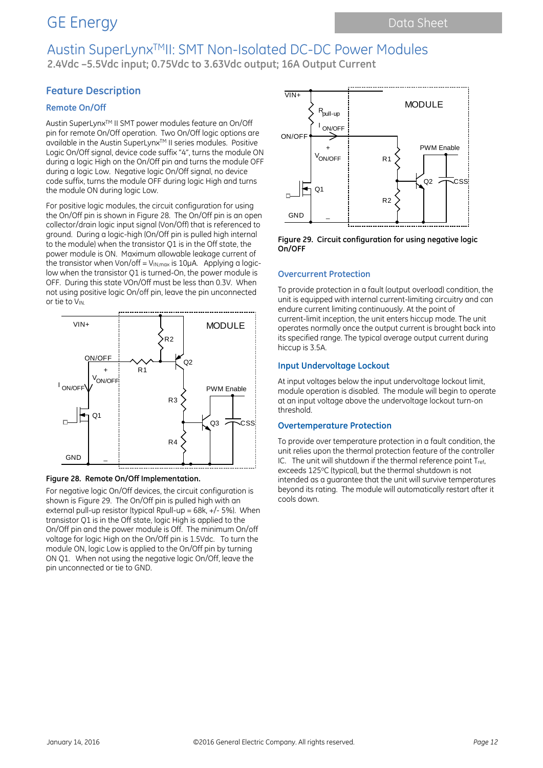## GE Energy Data Sheet

## Austin SuperLynxTMII: SMT Non-Isolated DC-DC Power Modules

**2.4Vdc –5.5Vdc input; 0.75Vdc to 3.63Vdc output; 16A Output Current**

### **Feature Description**

#### **Remote On/Off**

Austin SuperLynxTM II SMT power modules feature an On/Off pin for remote On/Off operation. Two On/Off logic options are available in the Austin SuperLynx™ II series modules. Positive Logic On/Off signal, device code suffix "4", turns the module ON during a logic High on the On/Off pin and turns the module OFF during a logic Low. Negative logic On/Off signal, no device code suffix, turns the module OFF during logic High and turns the module ON during logic Low.

For positive logic modules, the circuit configuration for using the On/Off pin is shown in Figure 28. The On/Off pin is an open collector/drain logic input signal (Von/Off) that is referenced to ground. During a logic-high (On/Off pin is pulled high internal to the module) when the transistor Q1 is in the Off state, the power module is ON. Maximum allowable leakage current of the transistor when Von/off =  $V_{IN, max}$  is 10 $\mu$ A. Applying a logiclow when the transistor Q1 is turned-On, the power module is OFF. During this state VOn/Off must be less than 0.3V. When not using positive logic On/off pin, leave the pin unconnected or tie to VIN.



#### **Figure 28. Remote On/Off Implementation.**

For negative logic On/Off devices, the circuit configuration is shown is Figure 29. The On/Off pin is pulled high with an external pull-up resistor (typical Rpull-up =  $68k$ ,  $+/-5%$ ). When transistor Q1 is in the Off state, logic High is applied to the On/Off pin and the power module is Off. The minimum On/off voltage for logic High on the On/Off pin is 1.5Vdc. To turn the module ON, logic Low is applied to the On/Off pin by turning ON Q1. When not using the negative logic On/Off, leave the pin unconnected or tie to GND.



**Figure 29. Circuit configuration for using negative logic On/OFF**

#### **Overcurrent Protection**

To provide protection in a fault (output overload) condition, the unit is equipped with internal current-limiting circuitry and can endure current limiting continuously. At the point of current-limit inception, the unit enters hiccup mode. The unit operates normally once the output current is brought back into its specified range. The typical average output current during hiccup is 3.5A.

#### **Input Undervoltage Lockout**

At input voltages below the input undervoltage lockout limit, module operation is disabled. The module will begin to operate at an input voltage above the undervoltage lockout turn-on threshold.

#### **Overtemperature Protection**

To provide over temperature protection in a fault condition, the unit relies upon the thermal protection feature of the controller IC. The unit will shutdown if the thermal reference point Tref. exceeds 125°C (typical), but the thermal shutdown is not intended as a guarantee that the unit will survive temperatures beyond its rating. The module will automatically restart after it cools down.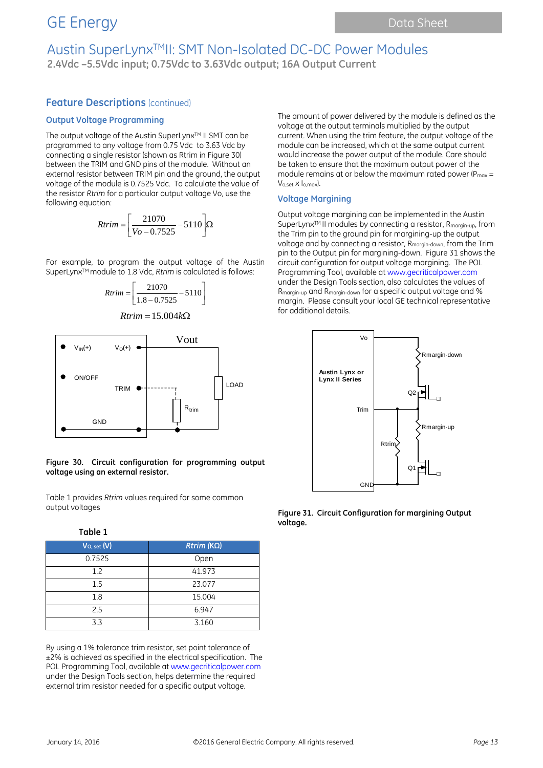## Austin SuperLynxTMII: SMT Non-Isolated DC-DC Power Modules **2.4Vdc –5.5Vdc input; 0.75Vdc to 3.63Vdc output; 16A Output Current**

#### **Feature Descriptions (continued)**

#### **Output Voltage Programming**

The output voltage of the Austin SuperLynx™ II SMT can be programmed to any voltage from 0.75 Vdc to 3.63 Vdc by connecting a single resistor (shown as Rtrim in Figure 30) between the TRIM and GND pins of the module. Without an external resistor between TRIM pin and the ground, the output voltage of the module is 0.7525 Vdc. To calculate the value of the resistor *Rtrim* for a particular output voltage Vo, use the following equation:

$$
Rtrim = \left[\frac{21070}{Vo - 0.7525} - 5110\right]\Omega
$$

For example, to program the output voltage of the Austin SuperLynx<sup>™</sup> module to 1.8 Vdc, *Rtrim* is calculated is follows:

$$
Rtrim = \left[ \frac{21070}{1.8 - 0.7525} - 5110 \right]
$$

$$
Rtrim = 15.004k\Omega
$$



#### **Figure 30. Circuit configuration for programming output voltage using an external resistor.**

Table 1 provides *Rtrim* values required for some common output voltages

| Table 1         |                   |
|-----------------|-------------------|
| $V_{O, set}(V)$ | $Rtrim (K\Omega)$ |
| 0.7525          | Open              |
| 1.2             | 41.973            |
| 1.5             | 23.077            |
| 1.8             | 15.004            |
| 2.5             | 6.947             |
| 3.3             | 3.160             |

By using a 1% tolerance trim resistor, set point tolerance of ±2% is achieved as specified in the electrical specification. The POL Programming Tool, available at www.gecriticalpower.com under the Design Tools section, helps determine the required external trim resistor needed for a specific output voltage.

The amount of power delivered by the module is defined as the voltage at the output terminals multiplied by the output current. When using the trim feature, the output voltage of the module can be increased, which at the same output current would increase the power output of the module. Care should be taken to ensure that the maximum output power of the module remains at or below the maximum rated power ( $P_{max}$  = Vo,set x Io,max).

#### **Voltage Margining**

Output voltage margining can be implemented in the Austin SuperLynx<sup>™</sup> II modules by connecting a resistor, R<sub>margin-up</sub>, from the Trim pin to the ground pin for margining-up the output voltage and by connecting a resistor, Rmargin-down, from the Trim pin to the Output pin for margining-down. Figure 31 shows the circuit configuration for output voltage margining. The POL Programming Tool, available at www.gecriticalpower.com under the Design Tools section, also calculates the values of Rmargin-up and Rmargin-down for a specific output voltage and % margin. Please consult your local GE technical representative for additional details.



**Figure 31. Circuit Configuration for margining Output voltage.**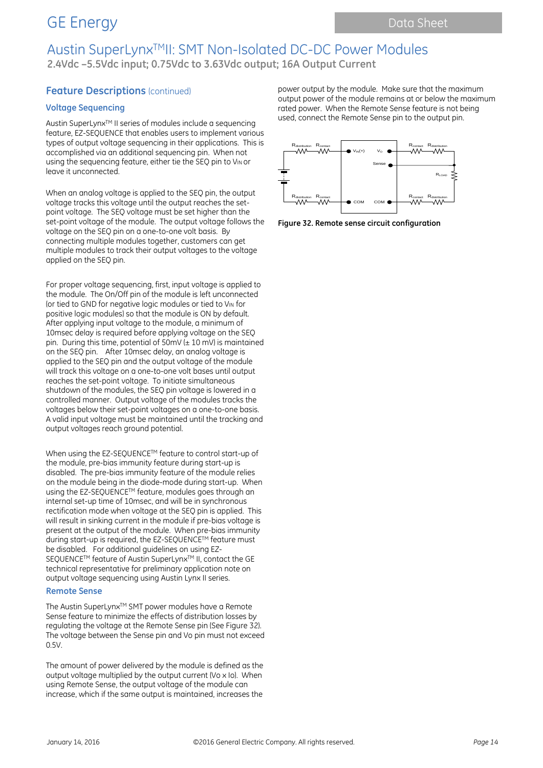## GE Energy Data Sheet

## Austin SuperLynxTMII: SMT Non-Isolated DC-DC Power Modules **2.4Vdc –5.5Vdc input; 0.75Vdc to 3.63Vdc output; 16A Output Current**

### **Feature Descriptions (continued)**

#### **Voltage Sequencing**

Austin SuperLynx<sup>™</sup> II series of modules include a sequencing feature, EZ-SEQUENCE that enables users to implement various types of output voltage sequencing in their applications. This is accomplished via an additional sequencing pin. When not using the sequencing feature, either tie the SEQ pin to VIN or leave it unconnected.

When an analog voltage is applied to the SEQ pin, the output voltage tracks this voltage until the output reaches the setpoint voltage. The SEQ voltage must be set higher than the set-point voltage of the module. The output voltage follows the voltage on the SEQ pin on a one-to-one volt basis. By connecting multiple modules together, customers can get multiple modules to track their output voltages to the voltage applied on the SEQ pin.

For proper voltage sequencing, first, input voltage is applied to the module. The On/Off pin of the module is left unconnected (or tied to GND for negative logic modules or tied to VIN for positive logic modules) so that the module is ON by default. After applying input voltage to the module, a minimum of 10msec delay is required before applying voltage on the SEQ pin. During this time, potential of  $50$ mV ( $\pm$  10 mV) is maintained on the SEQ pin. After 10msec delay, an analog voltage is applied to the SEQ pin and the output voltage of the module will track this voltage on a one-to-one volt bases until output reaches the set-point voltage. To initiate simultaneous shutdown of the modules, the SEQ pin voltage is lowered in a controlled manner. Output voltage of the modules tracks the voltages below their set-point voltages on a one-to-one basis. A valid input voltage must be maintained until the tracking and output voltages reach ground potential.

When using the EZ-SEQUENCETM feature to control start-up of the module, pre-bias immunity feature during start-up is disabled. The pre-bias immunity feature of the module relies on the module being in the diode-mode during start-up. When using the EZ-SEQUENCETM feature, modules goes through an internal set-up time of 10msec, and will be in synchronous rectification mode when voltage at the SEQ pin is applied. This will result in sinking current in the module if pre-bias voltage is present at the output of the module. When pre-bias immunity during start-up is required, the EZ-SEQUENCE™ feature must be disabled. For additional guidelines on using EZ-SEQUENCE<sup>™</sup> feature of Austin SuperLynx<sup>™</sup> II, contact the GE technical representative for preliminary application note on output voltage sequencing using Austin Lynx II series.

#### **Remote Sense**

The Austin SuperLynx™ SMT power modules have a Remote Sense feature to minimize the effects of distribution losses by regulating the voltage at the Remote Sense pin (See Figure 32). The voltage between the Sense pin and Vo pin must not exceed 0.5V.

The amount of power delivered by the module is defined as the output voltage multiplied by the output current (Vo x Io). When using Remote Sense, the output voltage of the module can increase, which if the same output is maintained, increases the

power output by the module. Make sure that the maximum output power of the module remains at or below the maximum rated power. When the Remote Sense feature is not being used, connect the Remote Sense pin to the output pin.



**Figure 32. Remote sense circuit configuration**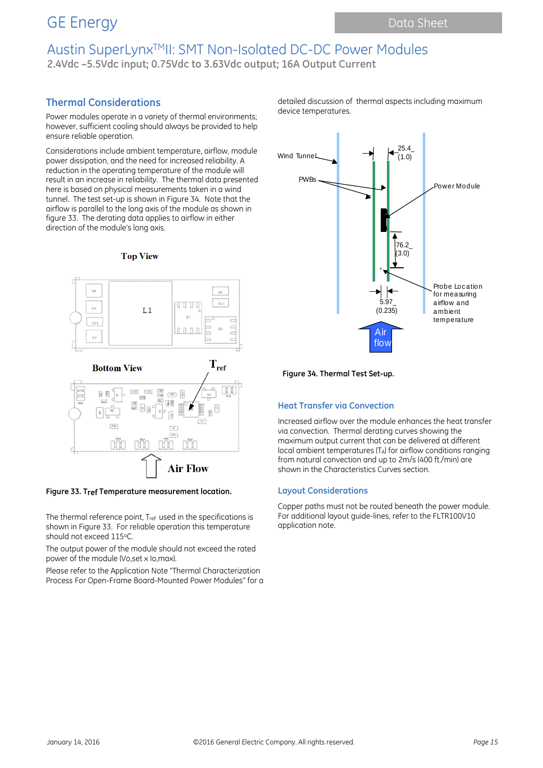**2.4Vdc –5.5Vdc input; 0.75Vdc to 3.63Vdc output; 16A Output Current**

## **Thermal Considerations**

Power modules operate in a variety of thermal environments; however, sufficient cooling should always be provided to help ensure reliable operation.

Considerations include ambient temperature, airflow, module power dissipation, and the need for increased reliability. A reduction in the operating temperature of the module will result in an increase in reliability. The thermal data presented here is based on physical measurements taken in a wind tunnel. The test set-up is shown in Figure 34. Note that the airflow is parallel to the long axis of the module as shown in figure 33. The derating data applies to airflow in either direction of the module's long axis.



**Top View** 

#### **Figure 33. Tref Temperature measurement location.**

The thermal reference point, T<sub>ref</sub> used in the specifications is shown in Figure 33. For reliable operation this temperature should not exceed 115°C.

**Air Flow** 

The output power of the module should not exceed the rated power of the module (Vo,set x Io,max).

Please refer to the Application Note "Thermal Characterization Process For Open-Frame Board-Mounted Power Modules" for a detailed discussion of thermal aspects including maximum device temperatures.



**Figure 34. Thermal Test Set-up.**

#### **Heat Transfer via Convection**

Increased airflow over the module enhances the heat transfer via convection. Thermal derating curves showing the maximum output current that can be delivered at different local ambient temperatures  $(T_A)$  for airflow conditions ranging from natural convection and up to 2m/s (400 ft./min) are shown in the Characteristics Curves section.

#### **Layout Considerations**

Copper paths must not be routed beneath the power module. For additional layout guide-lines, refer to the FLTR100V10 application note.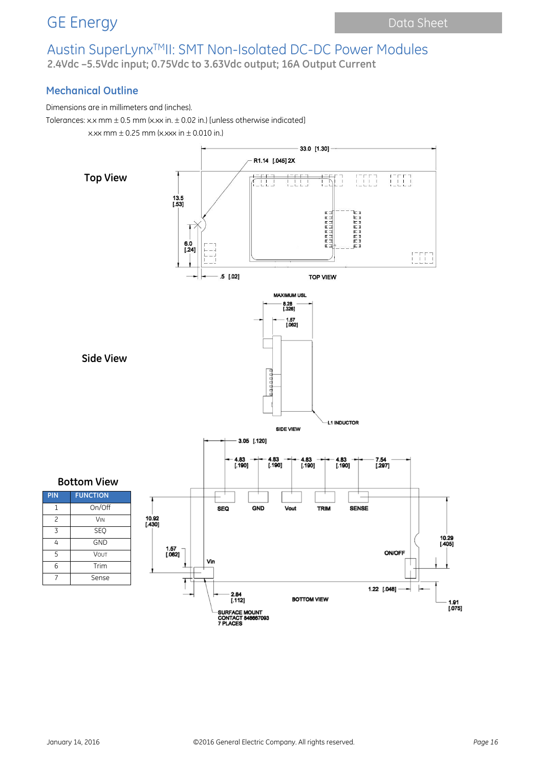## GE Energy **Data Sheet** Data Sheet

# Austin SuperLynxTMII: SMT Non-Isolated DC-DC Power Modules

**2.4Vdc –5.5Vdc input; 0.75Vdc to 3.63Vdc output; 16A Output Current**

### **Mechanical Outline**

Dimensions are in millimeters and (inches).

Tolerances: x.x mm  $\pm$  0.5 mm (x.xx in.  $\pm$  0.02 in.) [unless otherwise indicated]

x.xx mm  $\pm$  0.25 mm (x.xxx in  $\pm$  0.010 in.)

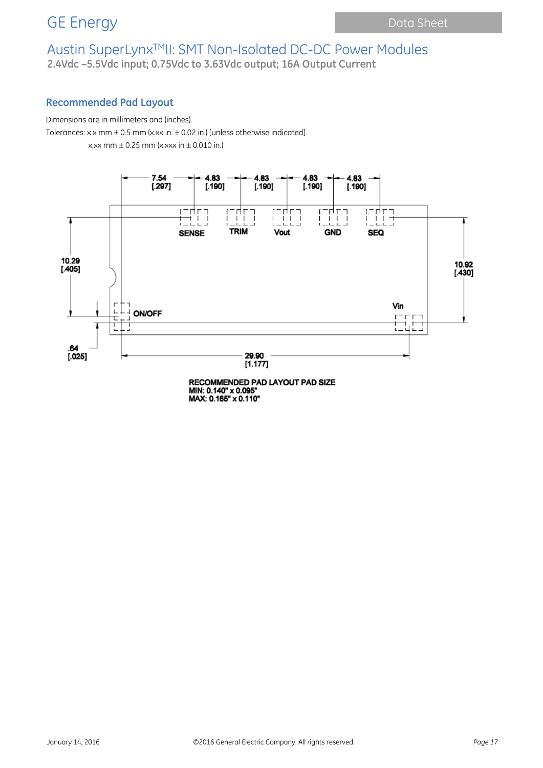**2.4Vdc –5.5Vdc input; 0.75Vdc to 3.63Vdc output; 16A Output Current**

### **Recommended Pad Layout**

Dimensions are in millimeters and (inches).

Tolerances: x.x mm  $\pm$  0.5 mm (x.xx in.  $\pm$  0.02 in.) [unless otherwise indicated]

x.xx mm  $\pm$  0.25 mm (x.xxx in  $\pm$  0.010 in.)



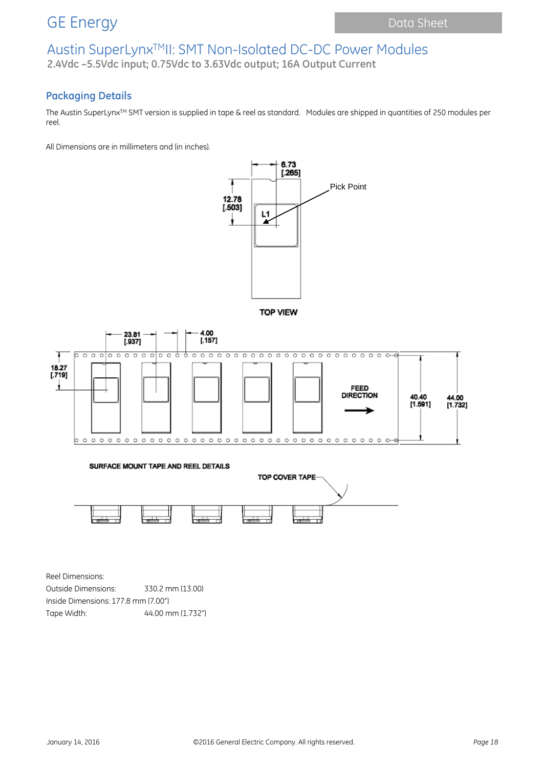**2.4Vdc –5.5Vdc input; 0.75Vdc to 3.63Vdc output; 16A Output Current**

## **Packaging Details**

The Austin SuperLynx™ SMT version is supplied in tape & reel as standard. Modules are shipped in quantities of 250 modules per reel.

All Dimensions are in millimeters and (in inches).









Reel Dimensions: Outside Dimensions: 330.2 mm (13.00) Inside Dimensions: 177.8 mm (7.00") Tape Width: 44.00 mm (1.732")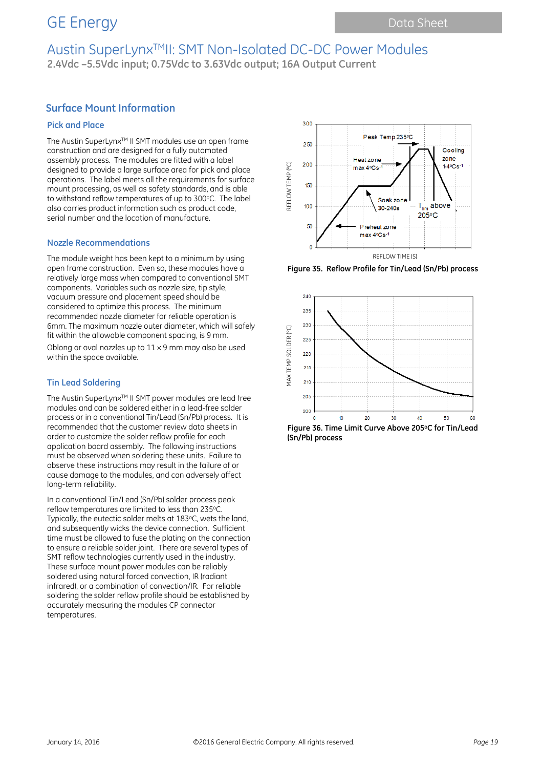## GE Energy Data Sheet

## Austin SuperLynxTMII: SMT Non-Isolated DC-DC Power Modules **2.4Vdc –5.5Vdc input; 0.75Vdc to 3.63Vdc output; 16A Output Current**

### **Surface Mount Information**

#### **Pick and Place**

The Austin SuperLynx™ II SMT modules use an open frame construction and are designed for a fully automated assembly process. The modules are fitted with a label designed to provide a large surface area for pick and place operations. The label meets all the requirements for surface mount processing, as well as safety standards, and is able to withstand reflow temperatures of up to 300 °C. The label also carries product information such as product code, serial number and the location of manufacture.

#### **Nozzle Recommendations**

The module weight has been kept to a minimum by using open frame construction. Even so, these modules have a relatively large mass when compared to conventional SMT components. Variables such as nozzle size, tip style, vacuum pressure and placement speed should be considered to optimize this process. The minimum recommended nozzle diameter for reliable operation is 6mm. The maximum nozzle outer diameter, which will safely fit within the allowable component spacing, is 9 mm.

Oblong or oval nozzles up to  $11 \times 9$  mm may also be used within the space available.

#### **Tin Lead Soldering**

The Austin SuperLynx™ II SMT power modules are lead free modules and can be soldered either in a lead-free solder process or in a conventional Tin/Lead (Sn/Pb) process. It is recommended that the customer review data sheets in order to customize the solder reflow profile for each application board assembly. The following instructions must be observed when soldering these units. Failure to observe these instructions may result in the failure of or cause damage to the modules, and can adversely affect long-term reliability.

In a conventional Tin/Lead (Sn/Pb) solder process peak reflow temperatures are limited to less than 235°C. Typically, the eutectic solder melts at 183°C, wets the land, and subsequently wicks the device connection. Sufficient time must be allowed to fuse the plating on the connection to ensure a reliable solder joint. There are several types of SMT reflow technologies currently used in the industry. These surface mount power modules can be reliably soldered using natural forced convection, IR (radiant infrared), or a combination of convection/IR. For reliable soldering the solder reflow profile should be established by accurately measuring the modules CP connector temperatures.



**Figure 35. Reflow Profile for Tin/Lead (Sn/Pb) process**



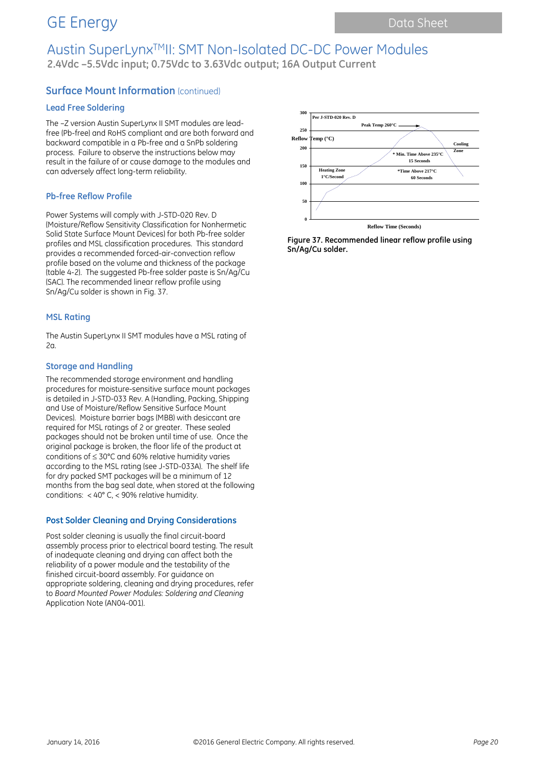## GE Energy Data Sheet

# Austin SuperLynxTMII: SMT Non-Isolated DC-DC Power Modules

**2.4Vdc –5.5Vdc input; 0.75Vdc to 3.63Vdc output; 16A Output Current**

### **Surface Mount Information** (continued)

#### **Lead Free Soldering**

The –Z version Austin SuperLynx II SMT modules are leadfree (Pb-free) and RoHS compliant and are both forward and backward compatible in a Pb-free and a SnPb soldering process. Failure to observe the instructions below may result in the failure of or cause damage to the modules and can adversely affect long-term reliability.

#### **Pb-free Reflow Profile**

Power Systems will comply with J-STD-020 Rev. D (Moisture/Reflow Sensitivity Classification for Nonhermetic Solid State Surface Mount Devices) for both Pb-free solder profiles and MSL classification procedures. This standard provides a recommended forced-air-convection reflow profile based on the volume and thickness of the package (table 4-2). The suggested Pb-free solder paste is Sn/Ag/Cu (SAC). The recommended linear reflow profile using Sn/Ag/Cu solder is shown in Fig. 37.

#### **MSL Rating**

The Austin SuperLynx II SMT modules have a MSL rating of  $2a$ 

#### **Storage and Handling**

The recommended storage environment and handling procedures for moisture-sensitive surface mount packages is detailed in J-STD-033 Rev. A (Handling, Packing, Shipping and Use of Moisture/Reflow Sensitive Surface Mount Devices). Moisture barrier bags (MBB) with desiccant are required for MSL ratings of 2 or greater. These sealed packages should not be broken until time of use. Once the original package is broken, the floor life of the product at conditions of ≤ 30°C and 60% relative humidity varies according to the MSL rating (see J-STD-033A). The shelf life for dry packed SMT packages will be a minimum of 12 months from the bag seal date, when stored at the following conditions:  $< 40^{\circ}$  C,  $< 90\%$  relative humidity.

#### **Post Solder Cleaning and Drying Considerations**

Post solder cleaning is usually the final circuit-board assembly process prior to electrical board testing. The result of inadequate cleaning and drying can affect both the reliability of a power module and the testability of the finished circuit-board assembly. For guidance on appropriate soldering, cleaning and drying procedures, refer to *Board Mounted Power Modules: Soldering and Cleaning* Application Note (AN04-001).



**Figure 37. Recommended linear reflow profile using Sn/Ag/Cu solder.**